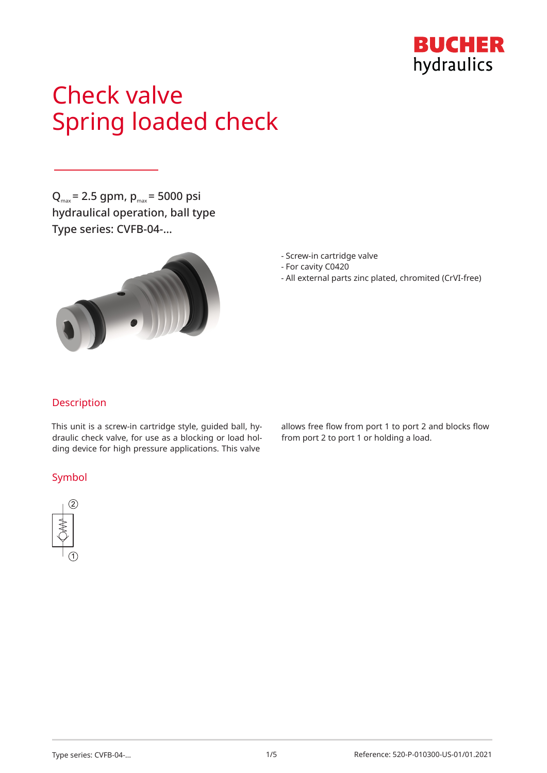

# Check valve Spring loaded check

 $Q_{\text{max}}$  = 2.5 gpm,  $p_{\text{max}}$  = 5000 psi hydraulical operation, ball type Type series: CVFB-04-…



- Screw-in cartridge valve
- For cavity C0420
- All external parts zinc plated, chromited (CrVI-free)

## Description

This unit is a screw-in cartridge style, guided ball, hydraulic check valve, for use as a blocking or load holding device for high pressure applications. This valve

## Symbol



allows free flow from port 1 to port 2 and blocks flow from port 2 to port 1 or holding a load.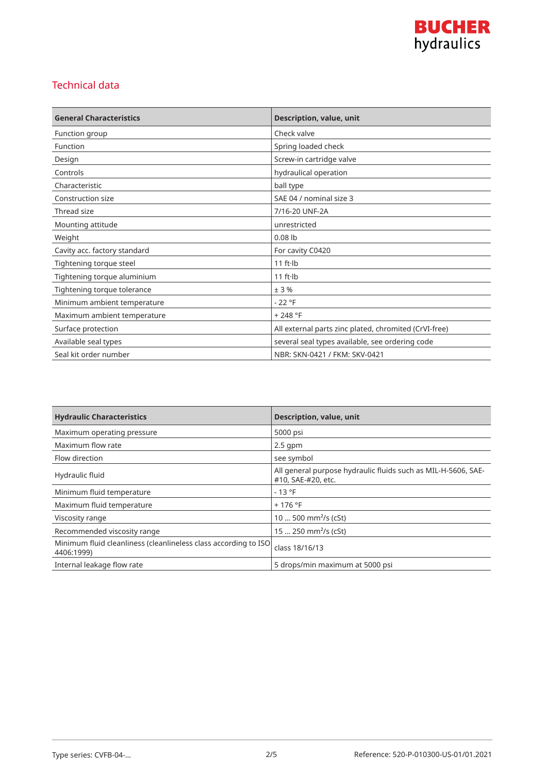

## Technical data

| <b>General Characteristics</b> | <b>Description, value, unit</b>                       |
|--------------------------------|-------------------------------------------------------|
| Function group                 | Check valve                                           |
| Function                       | Spring loaded check                                   |
| Design                         | Screw-in cartridge valve                              |
| Controls                       | hydraulical operation                                 |
| Characteristic                 | ball type                                             |
| Construction size              | SAE 04 / nominal size 3                               |
| Thread size                    | 7/16-20 UNF-2A                                        |
| Mounting attitude              | unrestricted                                          |
| Weight                         | $0.08$ lb                                             |
| Cavity acc. factory standard   | For cavity C0420                                      |
| Tightening torque steel        | $11$ ft $\cdot$ lb                                    |
| Tightening torque aluminium    | $11$ ft $\cdot$ lb                                    |
| Tightening torque tolerance    | ±3%                                                   |
| Minimum ambient temperature    | $-22$ °F                                              |
| Maximum ambient temperature    | $+248 °F$                                             |
| Surface protection             | All external parts zinc plated, chromited (CrVI-free) |
| Available seal types           | several seal types available, see ordering code       |
| Seal kit order number          | NBR: SKN-0421 / FKM: SKV-0421                         |

| <b>Hydraulic Characteristics</b>                                              | <b>Description, value, unit</b>                                                     |
|-------------------------------------------------------------------------------|-------------------------------------------------------------------------------------|
| Maximum operating pressure                                                    | 5000 psi                                                                            |
| Maximum flow rate                                                             | $2.5$ gpm                                                                           |
| Flow direction                                                                | see symbol                                                                          |
| Hydraulic fluid                                                               | All general purpose hydraulic fluids such as MIL-H-5606, SAE-<br>#10, SAE-#20, etc. |
| Minimum fluid temperature                                                     | $-13 °F$                                                                            |
| Maximum fluid temperature                                                     | $+176$ °F                                                                           |
| Viscosity range                                                               | 10  500 mm <sup>2</sup> /s (cSt)                                                    |
| Recommended viscosity range                                                   | 15  250 mm <sup>2</sup> /s (cSt)                                                    |
| Minimum fluid cleanliness (cleanlineless class according to ISO<br>4406:1999) | class 18/16/13                                                                      |
| Internal leakage flow rate                                                    | 5 drops/min maximum at 5000 psi                                                     |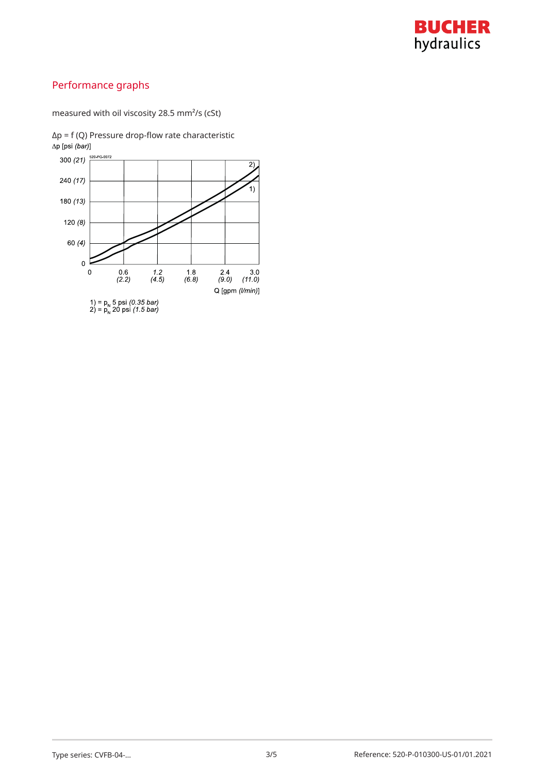

# Performance graphs

measured with oil viscosity 28.5 mm²/s (cSt)

 $Δp = f (Q)$  Pressure drop-flow rate characteristic  $Δp [psi (bar)]$ 

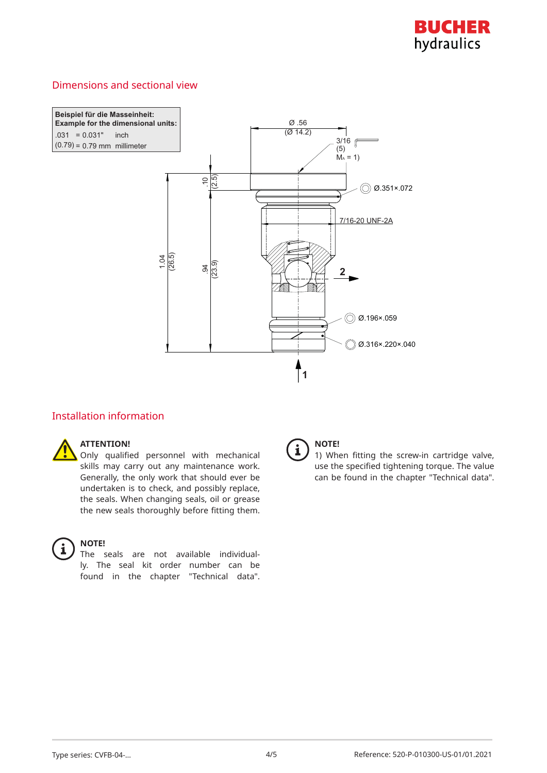

## Dimensions and sectional view



## Installation information

### **ATTENTION!**

Only qualified personnel with mechanical skills may carry out any maintenance work. Generally, the only work that should ever be undertaken is to check, and possibly replace, the seals. When changing seals, oil or grease the new seals thoroughly before fitting them.

#### **NOTE!**

The seals are not available individually. The seal kit order number can be found in the chapter "Technical data".



## **NOTE!**

1) When fitting the screw-in cartridge valve, use the specified tightening torque. The value can be found in the chapter "Technical data".